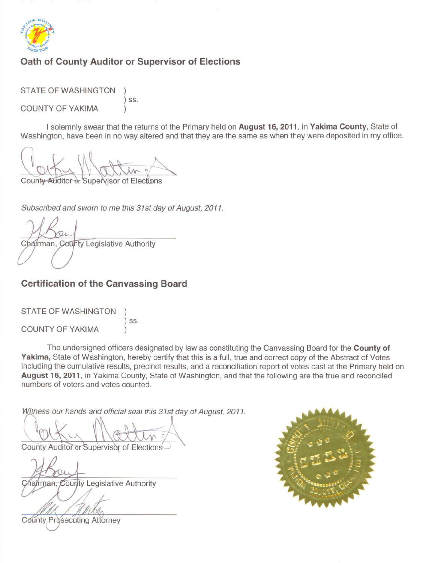

# Oath of County Auditor or Supervisor of Elections

**STATE OF WASHINGTON**  $)$  SS. **COUNTY OF YAKIMA**  $\lambda$ 

I solemnly swear that the returns of the Primary held on August 16, 2011, in Yakima County, State of Washington, have been in no way altered and that they are the same as when they were deposited in my office.

County Auditor or Supervisor of Elections

Subscribed and sworn to me this 31st day of August, 2011.

Chairman, County Legislative Authority

### **Certification of the Canvassing Board**

**STATE OF WASHINGTON**  $)$  SS. **COUNTY OF YAKIMA** 

The undersigned officers designated by law as constituting the Canvassing Board for the County of Yakima, State of Washington, hereby certify that this is a full, true and correct copy of the Abstract of Votes including the cumulative results, precinct results, and a reconciliation report of votes cast at the Primary held on August 16, 2011, in Yakima County, State of Washington, and that the following are the true and reconciled numbers of voters and votes counted.

Witness our hands and official seal this 31st day of August, 2011.

County Auditor or Supervisor of Elections

Chairman, County Legislative Authority



County Prosecuting Attorney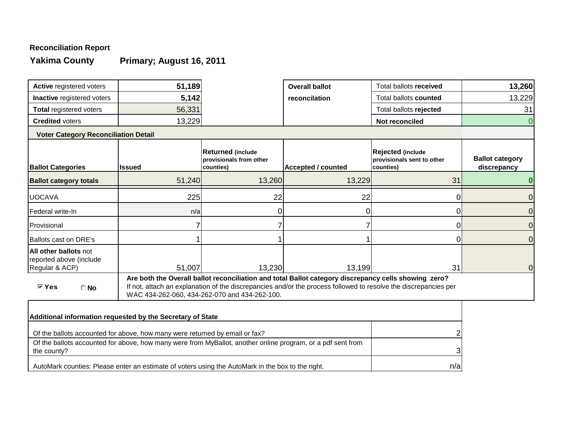

#### **Yakima County Primary; August 16, 2011**

| <b>Active registered voters</b>                                           | 51,189                                                                                                      |                                                                  | <b>Overall ballot</b>                                                                                                                                                                                                   | <b>Total ballots received</b>                                        | 13,260                                |
|---------------------------------------------------------------------------|-------------------------------------------------------------------------------------------------------------|------------------------------------------------------------------|-------------------------------------------------------------------------------------------------------------------------------------------------------------------------------------------------------------------------|----------------------------------------------------------------------|---------------------------------------|
| <b>Inactive registered voters</b>                                         | 5,142                                                                                                       |                                                                  | reconcilation                                                                                                                                                                                                           | <b>Total ballots counted</b>                                         | 13,229                                |
| <b>Total registered voters</b>                                            | 56,331                                                                                                      |                                                                  |                                                                                                                                                                                                                         | Total ballots rejected                                               | 31                                    |
| <b>Credited voters</b>                                                    | 13,229                                                                                                      |                                                                  |                                                                                                                                                                                                                         | <b>Not reconciled</b>                                                | 0                                     |
| <b>Voter Category Reconciliation Detail</b>                               |                                                                                                             |                                                                  |                                                                                                                                                                                                                         |                                                                      |                                       |
| <b>Ballot Categories</b>                                                  | <b>Issued</b>                                                                                               | <b>Returned (include</b><br>provisionals from other<br>counties) | <b>Accepted / counted</b>                                                                                                                                                                                               | <b>Rejected (include)</b><br>provisionals sent to other<br>counties) | <b>Ballot category</b><br>discrepancy |
| <b>Ballot category totals</b>                                             | 51,240                                                                                                      | 13,260                                                           | 13,229                                                                                                                                                                                                                  | 31                                                                   |                                       |
| <b>UOCAVA</b>                                                             | 225                                                                                                         | 22                                                               | 22                                                                                                                                                                                                                      |                                                                      |                                       |
| <b>Federal write-In</b>                                                   | n/a                                                                                                         |                                                                  | 0                                                                                                                                                                                                                       |                                                                      |                                       |
| Provisional                                                               |                                                                                                             |                                                                  |                                                                                                                                                                                                                         |                                                                      |                                       |
| <b>Ballots cast on DRE's</b>                                              |                                                                                                             |                                                                  |                                                                                                                                                                                                                         |                                                                      |                                       |
| <b>All other ballots not</b><br>reported above (include<br>Regular & ACP) | 51,007                                                                                                      | 13,230                                                           | 13,199                                                                                                                                                                                                                  | 31                                                                   | 0                                     |
| <b>⊠ Yes</b><br>$\square$ No                                              |                                                                                                             | WAC 434-262-060, 434-262-070 and 434-262-100.                    | Are both the Overall ballot reconciliation and total Ballot category discrepancy cells showing zero?<br>If not, attach an explanation of the discrepancies and/or the process followed to resolve the discrepancies per |                                                                      |                                       |
| Additional information requested by the Secretary of State                |                                                                                                             |                                                                  |                                                                                                                                                                                                                         |                                                                      |                                       |
|                                                                           | Of the ballots accounted for above, how many were returned by email or fax?                                 |                                                                  |                                                                                                                                                                                                                         |                                                                      |                                       |
| the county?                                                               | Of the ballots accounted for above, how many were from MyBallot, another online program, or a pdf sent from |                                                                  |                                                                                                                                                                                                                         |                                                                      |                                       |
|                                                                           | AutoMark counties: Please enter an estimate of voters using the AutoMark in the box to the right.           |                                                                  |                                                                                                                                                                                                                         | n/a                                                                  |                                       |



# **Reconciliation Report**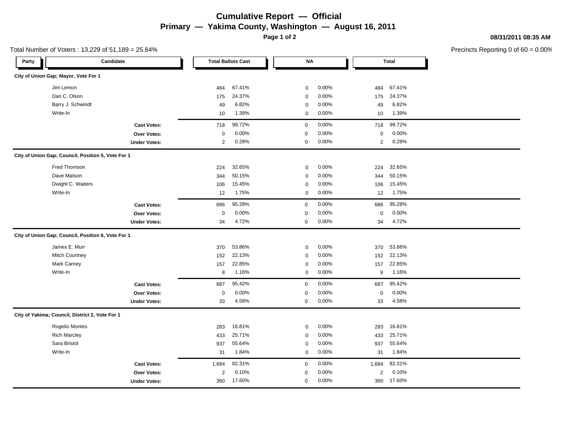# **Cumulative Report — Official Primary — Yakima County, Washington — August 16, 2011**

**Page 1 of 2**

#### **08/31/2011 08:35 AM**

|       |                                                    | Total Number of Voters: 13,229 of 51,189 = 25.84% |                |                           |             |       |                  |              | Precincts Reporting 0 of |
|-------|----------------------------------------------------|---------------------------------------------------|----------------|---------------------------|-------------|-------|------------------|--------------|--------------------------|
| Party |                                                    | Candidate                                         |                | <b>Total Ballots Cast</b> | <b>NA</b>   |       |                  | <b>Total</b> |                          |
|       | City of Union Gap; Mayor, Vote For 1               |                                                   |                |                           |             |       |                  |              |                          |
|       | Jim Lemon                                          |                                                   | 484            | 67.41%                    | 0           | 0.00% | 484              | 67.41%       |                          |
|       | Dan C. Olson                                       |                                                   | 175            | 24.37%                    | 0           | 0.00% | 175              | 24.37%       |                          |
|       | Barry J. Schwindt                                  |                                                   | 49             | 6.82%                     | 0           | 0.00% | 49               | 6.82%        |                          |
|       | Write-In                                           |                                                   | 10             | 1.39%                     | 0           | 0.00% | 10               | 1.39%        |                          |
|       |                                                    | <b>Cast Votes:</b>                                | 718            | 99.72%                    | $\mathbf 0$ | 0.00% | 718              | 99.72%       |                          |
|       |                                                    | Over Votes:                                       | $\mathbf 0$    | 0.00%                     | $\mathbf 0$ | 0.00% | $\boldsymbol{0}$ | 0.00%        |                          |
|       |                                                    | <b>Under Votes:</b>                               | $\overline{2}$ | 0.28%                     | $\mathbf 0$ | 0.00% | $\overline{2}$   | 0.28%        |                          |
|       | City of Union Gap; Council, Position 5, Vote For 1 |                                                   |                |                           |             |       |                  |              |                          |
|       | Fred Thomson                                       |                                                   | 224            | 32.65%                    | 0           | 0.00% | 224              | 32.65%       |                          |
|       | Dave Matson                                        |                                                   | 344            | 50.15%                    | 0           | 0.00% | 344              | 50.15%       |                          |
|       | Dwight C. Waiters                                  |                                                   | 106            | 15.45%                    | 0           | 0.00% | 106              | 15.45%       |                          |
|       | Write-In                                           |                                                   | 12             | 1.75%                     | 0           | 0.00% | 12               | 1.75%        |                          |
|       |                                                    | <b>Cast Votes:</b>                                | 686            | 95.28%                    | $\mathsf 0$ | 0.00% | 686              | 95.28%       |                          |
|       |                                                    | Over Votes:                                       | 0              | 0.00%                     | $\mathbf 0$ | 0.00% | $\mathbf 0$      | 0.00%        |                          |
|       |                                                    | <b>Under Votes:</b>                               | 34             | 4.72%                     | $\mathbf 0$ | 0.00% | 34               | 4.72%        |                          |
|       | City of Union Gap; Council, Position 6, Vote For 1 |                                                   |                |                           |             |       |                  |              |                          |
|       | James E. Murr                                      |                                                   | 370            | 53.86%                    | 0           | 0.00% | 370              | 53.86%       |                          |
|       | Mitch Courtney                                     |                                                   | 152            | 22.13%                    | 0           | 0.00% | 152              | 22.13%       |                          |
|       | Mark Carney                                        |                                                   | 157            | 22.85%                    | 0           | 0.00% | 157              | 22.85%       |                          |
|       | Write-In                                           |                                                   | 8              | 1.16%                     | 0           | 0.00% | 8                | 1.16%        |                          |
|       |                                                    | <b>Cast Votes:</b>                                | 687            | 95.42%                    | $\mathbf 0$ | 0.00% | 687              | 95.42%       |                          |
|       |                                                    | Over Votes:                                       | 0              | 0.00%                     | $\mathbf 0$ | 0.00% | $\pmb{0}$        | 0.00%        |                          |
|       |                                                    | <b>Under Votes:</b>                               | 33             | 4.58%                     | $\mathbf 0$ | 0.00% | 33               | 4.58%        |                          |
|       | City of Yakima; Council, District 2, Vote For 1    |                                                   |                |                           |             |       |                  |              |                          |
|       | Rogelio Montes                                     |                                                   | 283            | 16.81%                    | 0           | 0.00% | 283              | 16.81%       |                          |
|       | <b>Rich Marcley</b>                                |                                                   | 433            | 25.71%                    | 0           | 0.00% | 433              | 25.71%       |                          |
|       | Sara Bristol                                       |                                                   | 937            | 55.64%                    | 0           | 0.00% | 937              | 55.64%       |                          |
|       | Write-In                                           |                                                   | 31             | 1.84%                     | 0           | 0.00% | 31               | 1.84%        |                          |
|       |                                                    | <b>Cast Votes:</b>                                | 1,684          | 82.31%                    | $\mathbf 0$ | 0.00% | 1,684            | 82.31%       |                          |
|       |                                                    | Over Votes:                                       | $\overline{2}$ | 0.10%                     | $\mathbf 0$ | 0.00% | $\overline{2}$   | 0.10%        |                          |
|       |                                                    | <b>Under Votes:</b>                               | 360            | 17.60%                    | $\mathbf 0$ | 0.00% | 360              | 17.60%       |                          |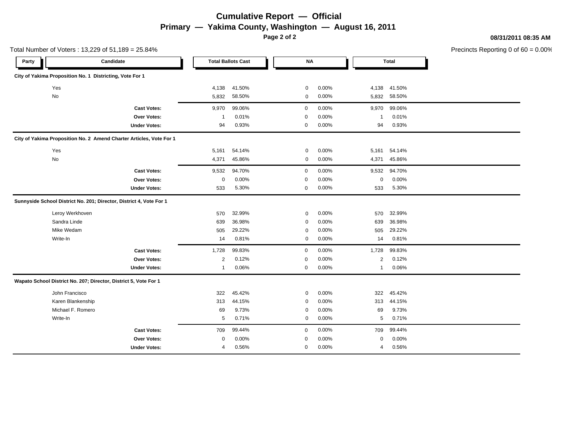# **Cumulative Report — Official Primary — Yakima County, Washington — August 16, 2011**

**Page 2 of 2**

#### **08/31/2011 08:35 AM**

|       |                                                          | Total Number of Voters: 13,229 of 51,189 = 25.84%                   |                         |                           |             |       |              |              | Precincts Reporting 0 of |
|-------|----------------------------------------------------------|---------------------------------------------------------------------|-------------------------|---------------------------|-------------|-------|--------------|--------------|--------------------------|
| Party |                                                          | Candidate                                                           |                         | <b>Total Ballots Cast</b> | NA          |       |              | <b>Total</b> |                          |
|       | City of Yakima Proposition No. 1 Districting, Vote For 1 |                                                                     |                         |                           |             |       |              |              |                          |
|       | Yes                                                      |                                                                     | 4,138                   | 41.50%                    | 0           | 0.00% | 4,138        | 41.50%       |                          |
|       | No                                                       |                                                                     | 5,832                   | 58.50%                    | 0           | 0.00% |              | 5,832 58.50% |                          |
|       |                                                          | <b>Cast Votes:</b>                                                  | 9,970                   | 99.06%                    | $\mathbf 0$ | 0.00% | 9,970        | 99.06%       |                          |
|       |                                                          | Over Votes:                                                         | 1                       | 0.01%                     | 0           | 0.00% | 1            | 0.01%        |                          |
|       |                                                          | <b>Under Votes:</b>                                                 | 94                      | 0.93%                     | 0           | 0.00% | 94           | 0.93%        |                          |
|       |                                                          | City of Yakima Proposition No. 2 Amend Charter Articles, Vote For 1 |                         |                           |             |       |              |              |                          |
|       | Yes                                                      |                                                                     | 5,161                   | 54.14%                    | 0           | 0.00% | 5,161        | 54.14%       |                          |
|       | No                                                       |                                                                     | 4,371                   | 45.86%                    | $\mathsf 0$ | 0.00% | 4,371        | 45.86%       |                          |
|       |                                                          | <b>Cast Votes:</b>                                                  | 9,532                   | 94.70%                    | $\mathbf 0$ | 0.00% | 9,532        | 94.70%       |                          |
|       |                                                          | Over Votes:                                                         | 0                       | 0.00%                     | $\mathbf 0$ | 0.00% | $\mathbf 0$  | 0.00%        |                          |
|       |                                                          | <b>Under Votes:</b>                                                 | 533                     | 5.30%                     | $\mathbf 0$ | 0.00% | 533          | 5.30%        |                          |
|       |                                                          | Sunnyside School District No. 201; Director, District 4, Vote For 1 |                         |                           |             |       |              |              |                          |
|       | Leroy Werkhoven                                          |                                                                     | 570                     | 32.99%                    | 0           | 0.00% | 570          | 32.99%       |                          |
|       | Sandra Linde                                             |                                                                     | 639                     | 36.98%                    | 0           | 0.00% | 639          | 36.98%       |                          |
|       | Mike Wedam                                               |                                                                     | 505                     | 29.22%                    | $\mathsf 0$ | 0.00% | 505          | 29.22%       |                          |
|       | Write-In                                                 |                                                                     | 14                      | 0.81%                     | 0           | 0.00% | 14           | 0.81%        |                          |
|       |                                                          | <b>Cast Votes:</b>                                                  | 1,728                   | 99.83%                    | $\mathbf 0$ | 0.00% | 1,728        | 99.83%       |                          |
|       |                                                          | Over Votes:                                                         | $\overline{\mathbf{c}}$ | 0.12%                     | 0           | 0.00% | 2            | 0.12%        |                          |
|       |                                                          | <b>Under Votes:</b>                                                 | -1                      | 0.06%                     | $\mathbf 0$ | 0.00% | $\mathbf{1}$ | 0.06%        |                          |
|       |                                                          | Wapato School District No. 207; Director, District 5, Vote For 1    |                         |                           |             |       |              |              |                          |
|       | John Francisco                                           |                                                                     | 322                     | 45.42%                    | 0           | 0.00% | 322          | 45.42%       |                          |
|       | Karen Blankenship                                        |                                                                     | 313                     | 44.15%                    | 0           | 0.00% | 313          | 44.15%       |                          |
|       | Michael F. Romero                                        |                                                                     | 69                      | 9.73%                     | 0           | 0.00% | 69           | 9.73%        |                          |
|       | Write-In                                                 |                                                                     | 5                       | 0.71%                     | 0           | 0.00% | 5            | 0.71%        |                          |
|       |                                                          | <b>Cast Votes:</b>                                                  | 709                     | 99.44%                    | $\mathbf 0$ | 0.00% | 709          | 99.44%       |                          |
|       |                                                          | Over Votes:                                                         | 0                       | 0.00%                     | 0           | 0.00% | 0            | 0.00%        |                          |
|       |                                                          | <b>Under Votes:</b>                                                 | 4                       | 0.56%                     | 0           | 0.00% | 4            | 0.56%        |                          |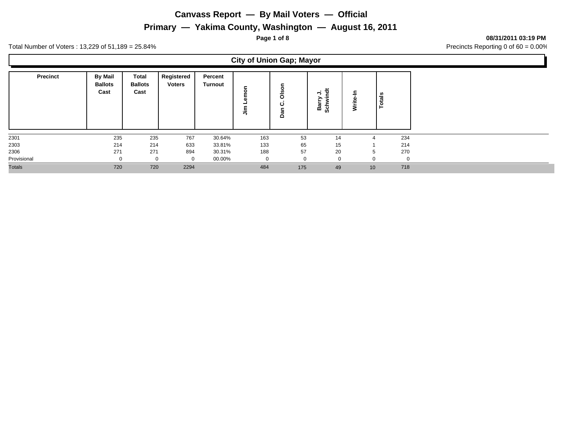# **Primary — Yakima County, Washington — August 16, 2011**

**Page 1 of 8 08/31/2011 03:19 PM**

Ъ

Total Number of Voters : 13,229 of 51,189 = 25.84% Precincts Reporting 0 of 60 = 0.00%

 $\Box$ 

|                 |                                          |                                        |                             |                           | <b>City of Union Gap; Mayor</b> |             |          |             |               |  |
|-----------------|------------------------------------------|----------------------------------------|-----------------------------|---------------------------|---------------------------------|-------------|----------|-------------|---------------|--|
| <b>Precinct</b> | <b>By Mail</b><br><b>Ballots</b><br>Cast | <b>Total</b><br><b>Ballots</b><br>Cast | Registered<br><b>Voters</b> | Percent<br><b>Turnout</b> | $\bar{z}$                       | о<br>ပ<br>۵ | នី និ    | ≳           | <b>Totals</b> |  |
| 2301            | 235                                      | 235                                    | 767                         | 30.64%                    | 163                             | 53          | 14       |             | 234           |  |
| 2303            | 214                                      | 214                                    | 633                         | 33.81%                    | 133                             | 65          | 15       |             | 214           |  |
| 2306            | 271                                      | 271                                    | 894                         | 30.31%                    | 188                             | 57          | 20       | $\mathbf b$ | 270           |  |
| Provisional     | 0                                        | 0                                      | $\mathbf{0}$                | 00.00%                    | 0                               | $\mathbf 0$ | $\Omega$ | 0           | $\Omega$      |  |
| <b>Totals</b>   | 720                                      | 720                                    | 2294                        |                           | 484                             | 175         | 49       | 10          | 718           |  |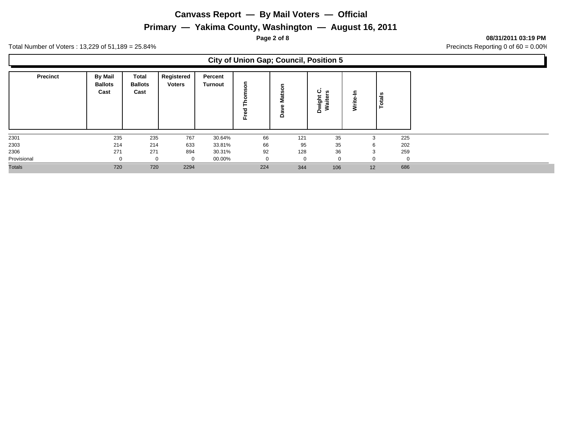# **Primary — Yakima County, Washington — August 16, 2011**

**Page 2 of 8 08/31/2011 03:19 PM**

Ъ

Total Number of Voters : 13,229 of 51,189 = 25.84% Precincts Reporting 0 of 60 = 0.00%

 $\Gamma$ 

|                 |                                   |                                        |                             |                    |              | <b>City of Union Gap; Council, Position 5</b> |                             |            |          |  |
|-----------------|-----------------------------------|----------------------------------------|-----------------------------|--------------------|--------------|-----------------------------------------------|-----------------------------|------------|----------|--|
| <b>Precinct</b> | By Mail<br><b>Ballots</b><br>Cast | <b>Total</b><br><b>Ballots</b><br>Cast | Registered<br><b>Voters</b> | Percent<br>Turnout | န<br>正       | ⊆<br>≏                                        | ပ<br><b>un</b><br>ight<br>۵ | ≘<br>Write | otals    |  |
| 2301            | 235                               | 235                                    | 767                         | 30.64%             | 66           | 121                                           | 35                          | 3          | 225      |  |
| 2303            | 214                               | 214                                    | 633                         | 33.81%             | 66           | 95                                            | 35                          | 6          | 202      |  |
| 2306            | 271                               | 271                                    | 894                         | 30.31%             | 92           | 128                                           | 36                          | 3          | 259      |  |
| Provisional     | $\mathbf{0}$                      | $\mathbf 0$                            | $\mathbf{0}$                | 00.00%             | $\mathbf{0}$ | $\mathbf 0$                                   | $\mathbf 0$                 | 0          | $\Omega$ |  |
| <b>Totals</b>   | 720                               | 720                                    | 2294                        |                    | 224          | 344                                           | 106                         | 12         | 686      |  |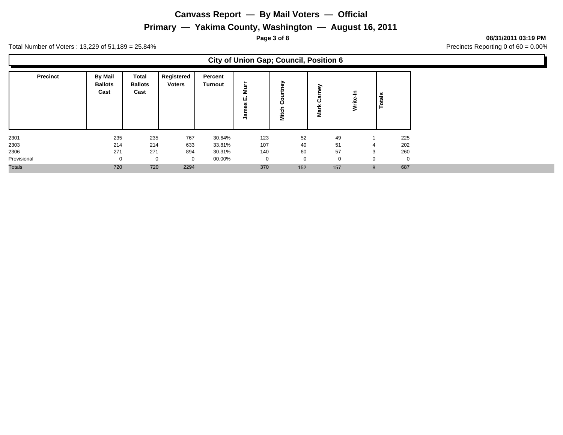# **Primary — Yakima County, Washington — August 16, 2011**

**Page 3 of 8 08/31/2011 03:19 PM**

Ъ

Total Number of Voters : 13,229 of 51,189 = 25.84% Precincts Reporting 0 of 60 = 0.00%

Г

|               |                                          |                                 |                             |                    | <b>City of Union Gap; Council, Position 6</b> |          |                 |   |              |  |
|---------------|------------------------------------------|---------------------------------|-----------------------------|--------------------|-----------------------------------------------|----------|-----------------|---|--------------|--|
| Precinct      | <b>By Mail</b><br><b>Ballots</b><br>Cast | Total<br><b>Ballots</b><br>Cast | Registered<br><b>Voters</b> | Percent<br>Turnout | Σ<br>ш<br>∸                                   | ↗<br>š   | ె<br>د،<br>Nari | š | Ë<br>$\circ$ |  |
| 2301          | 235                                      | 235                             | 767                         | 30.64%             | 123                                           | 52       | 49              |   | 225          |  |
| 2303          | 214                                      | 214                             | 633                         | 33.81%             | 107                                           | 40       | 51              | 4 | 202          |  |
| 2306          | 271                                      | 271                             | 894                         | 30.31%             | 140                                           | 60       | 57              | 3 | 260          |  |
| Provisional   | 0                                        | $\mathbf 0$                     | $\mathbf 0$                 | 00.00%             | 0                                             | $\Omega$ | 0               | 0 | $\Omega$     |  |
| <b>Totals</b> | 720                                      | 720                             | 2294                        |                    | 370                                           | 152      | 157             | 8 | 687          |  |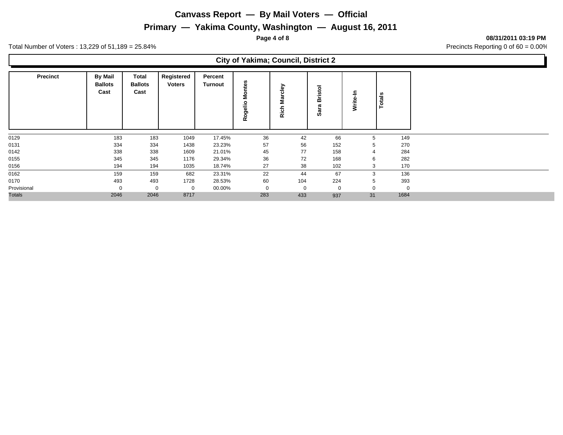# **Primary — Yakima County, Washington — August 16, 2011**

**Page 4 of 8 08/31/2011 03:19 PM**

Total Number of Voters : 13,229 of 51,189 = 25.84% Precincts Reporting 0 of 60 = 0.00%

|                 |                                          |                                        |                             |                    |                      | <b>City of Yakima; Council, District 2</b> |                                                           |                |            |  |
|-----------------|------------------------------------------|----------------------------------------|-----------------------------|--------------------|----------------------|--------------------------------------------|-----------------------------------------------------------|----------------|------------|--|
| <b>Precinct</b> | <b>By Mail</b><br><b>Ballots</b><br>Cast | <b>Total</b><br><b>Ballots</b><br>Cast | Registered<br><b>Voters</b> | Percent<br>Turnout | ntes<br>š<br>Rogelio | ela<br>š<br>Ric                            | $\overline{\mathcal{Q}}$<br>ë<br>≃<br>►<br>ω<br><b>SO</b> | 두<br>Write-    | tais<br>مّ |  |
| 0129            | 183                                      | 183                                    | 1049                        | 17.45%             | 36                   | 42                                         | 66                                                        | 5              | 149        |  |
| 0131            | 334                                      | 334                                    | 1438                        | 23.23%             | 57                   | 56                                         | 152                                                       | 5              | 270        |  |
| 0142            | 338                                      | 338                                    | 1609                        | 21.01%             | 45                   | 77                                         | 158                                                       | $\overline{4}$ | 284        |  |
| 0155            | 345                                      | 345                                    | 1176                        | 29.34%             | 36                   | 72                                         | 168                                                       | 6              | 282        |  |
| 0156            | 194                                      | 194                                    | 1035                        | 18.74%             | 27                   | 38                                         | 102                                                       | 3              | 170        |  |
| 0162            | 159                                      | 159                                    | 682                         | 23.31%             | 22                   | 44                                         | 67                                                        | 3              | 136        |  |
| 0170            | 493                                      | 493                                    | 1728                        | 28.53%             | 60                   | 104                                        | 224                                                       | 5              | 393        |  |
| Provisional     |                                          | $\Omega$                               | 0                           | 00.00%             | $\Omega$             |                                            | $\mathbf 0$                                               | 0              | $\Omega$   |  |
| <b>Totals</b>   | 2046                                     | 2046                                   | 8717                        |                    | 283                  | 433                                        | 937                                                       | 31             | 1684       |  |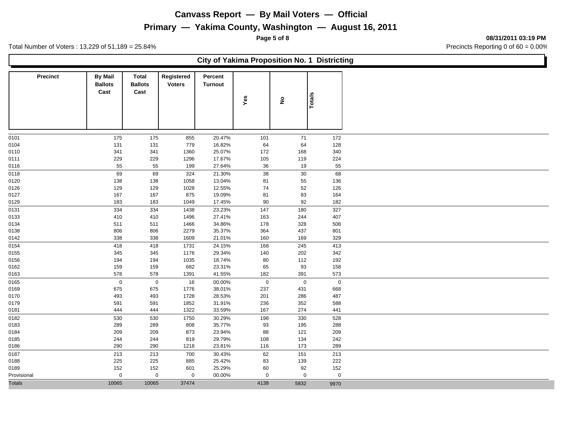# **Primary — Yakima County, Washington — August 16, 2011**

**City of Yakima Proposition No. 1 Districting**

**Page 5 of 8 08/31/2011 03:19 PM**

Total Number of Voters : 13,229 of 51,189 = 25.84% Precincts Reporting 0 of 60 = 0.00%

| <b>Precinct</b> | <b>By Mail</b><br><b>Ballots</b> | <b>Total</b><br><b>Ballots</b> | Registered<br><b>Voters</b> | Percent<br><b>Turnout</b> |             |               |             |
|-----------------|----------------------------------|--------------------------------|-----------------------------|---------------------------|-------------|---------------|-------------|
|                 | Cast                             | Cast                           |                             |                           | Yes         | $\frac{1}{2}$ | Total       |
|                 |                                  |                                |                             |                           |             |               |             |
| 0101            | 175                              | 175                            | 855                         | 20.47%                    | 101         | 71            | 172         |
| 0104            | 131                              | 131                            | 779                         | 16.82%                    | 64          | 64            | 128         |
| 0110            | 341                              | 341                            | 1360                        | 25.07%                    | 172         | 168           | 340         |
| 0111            | 229                              | 229                            | 1296                        | 17.67%                    | 105         | 119           | 224         |
| 0116            | 55                               | 55                             | 199                         | 27.64%                    | 36          | 19            | 55          |
| 0118            | 69                               | 69                             | 324                         | 21.30%                    | 38          | 30            | 68          |
| 0120            | 138                              | 138                            | 1058                        | 13.04%                    | 81          | 55            | 136         |
| 0126            | 129                              | 129                            | 1028                        | 12.55%                    | 74          | 52            | 126         |
| 0127            | 167                              | 167                            | 875                         | 19.09%                    | 81          | 83            | 164         |
| 0129            | 183                              | 183                            | 1049                        | 17.45%                    | 90          | 92            | 182         |
| 0131            | 334                              | 334                            | 1438                        | 23.23%                    | 147         | 180           | 327         |
| 0133            | 410                              | 410                            | 1496                        | 27.41%                    | 163         | 244           | 407         |
| 0134            | 511                              | 511                            | 1466                        | 34.86%                    | 178         | 328           | 506         |
| 0138            | 806                              | 806                            | 2279                        | 35.37%                    | 364         | 437           | 801         |
| 0142            | 338                              | 338                            | 1609                        | 21.01%                    | 160         | 169           | 329         |
| 0154            | 418                              | 418                            | 1731                        | 24.15%                    | 168         | 245           | 413         |
| 0155            | 345                              | 345                            | 1176                        | 29.34%                    | 140         | 202           | 342         |
| 0156            | 194                              | 194                            | 1035                        | 18.74%                    | 80          | 112           | 192         |
| 0162            | 159                              | 159                            | 682                         | 23.31%                    | 65          | 93            | 158         |
| 0163            | 578                              | 578                            | 1391                        | 41.55%                    | 182         | 391           | 573         |
| 0165            | $\boldsymbol{0}$                 | $\mathbf 0$                    | 16                          | 00.00%                    | $\mathbf 0$ | $\mathbf 0$   | $\mathbf 0$ |
| 0169            | 675                              | 675                            | 1776                        | 38.01%                    | 237         | 431           | 668         |
| 0170            | 493                              | 493                            | 1728                        | 28.53%                    | 201         | 286           | 487         |
| 0179            | 591                              | 591                            | 1852                        | 31.91%                    | 236         | 352           | 588         |
| 0181            | 444                              | 444                            | 1322                        | 33.59%                    | 167         | 274           | 441         |
| 0182            | 530                              | 530                            | 1750                        | 30.29%                    | 198         | 330           | 528         |
| 0183            | 289                              | 289                            | 808                         | 35.77%                    | 93          | 195           | 288         |
| 0184            | 209                              | 209                            | 873                         | 23.94%                    | 88          | 121           | 209         |
| 0185            | 244                              | 244                            | 819                         | 29.79%                    | 108         | 134           | 242         |
| 0186            | 290                              | 290                            | 1218                        | 23.81%                    | 116         | 173           | 289         |
| 0187            | 213                              | 213                            | 700                         | 30.43%                    | 62          | 151           | 213         |
| 0188            | 225                              | 225                            | 885                         | 25.42%                    | 83          | 139           | 222         |
| 0189            | 152                              | 152                            | 601                         | 25.29%                    | 60          | 92            | 152         |
| Provisional     | $\mathbf 0$                      | $\mathbf 0$                    | $\mathbf 0$                 | 00.00%                    | $\mathbf 0$ | $\mathbf 0$   | $\mathbf 0$ |
| <b>Totals</b>   | 10065                            | 10065                          | 37474                       |                           | 4138        | 5832          | 9970        |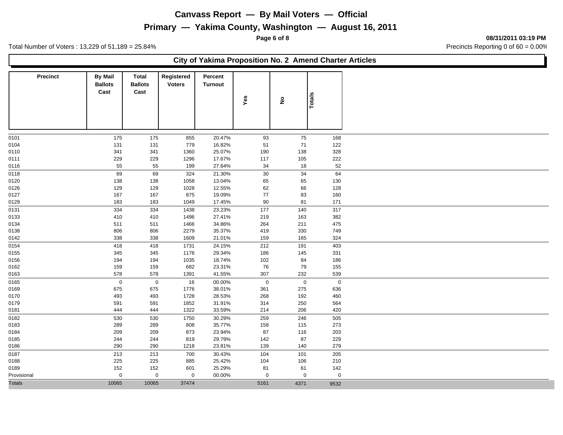# **Primary — Yakima County, Washington — August 16, 2011**

**Page 6 of 8 08/31/2011 03:19 PM**

Total Number of Voters : 13,229 of 51,189 = 25.84% Precincts Reporting 0 of 60 = 0.00%

#### **City of Yakima Proposition No. 2 Amend Charter Articles**

| <b>Precinct</b> | <b>By Mail</b>         | <b>Total</b>           | Registered    | Percent        |             |                   |                     |
|-----------------|------------------------|------------------------|---------------|----------------|-------------|-------------------|---------------------|
|                 | <b>Ballots</b><br>Cast | <b>Ballots</b><br>Cast | <b>Voters</b> | <b>Turnout</b> |             |                   |                     |
|                 |                        |                        |               |                | Yes         | $\hat{\mathsf z}$ | <b>Totals</b>       |
|                 |                        |                        |               |                |             |                   |                     |
|                 |                        |                        |               |                |             |                   |                     |
|                 |                        |                        |               |                |             |                   |                     |
| 0101            | 175                    | 175                    | 855           | 20.47%         | 93          | 75                | 168                 |
| 0104            | 131                    | 131                    | 779           | 16.82%         | 51          | 71                | 122                 |
| 0110            | 341                    | 341                    | 1360          | 25.07%         | 190         | 138               | 328                 |
| 0111            | 229                    | 229                    | 1296          | 17.67%         | 117         | 105               | 222                 |
| 0116            | 55                     | 55                     | 199           | 27.64%         | 34          | 18                | 52                  |
| 0118            | 69                     | 69                     | 324           | 21.30%         | $30\,$      | 34                | 64                  |
| 0120            | 138                    | 138                    | 1058          | 13.04%         | 65          | 65                | 130                 |
| 0126            | 129                    | 129                    | 1028          | 12.55%         | 62          | 66                | 128                 |
| 0127            | 167                    | 167                    | 875           | 19.09%         | $77\,$      | 83                | 160                 |
| 0129            | 183                    | 183                    | 1049          | 17.45%         | 90          | 81                | 171                 |
| 0131            | 334                    | 334                    | 1438          | 23.23%         | 177         | 140               | 317                 |
| 0133            | 410                    | 410                    | 1496          | 27.41%         | 219         | 163               | 382                 |
| 0134            | 511                    | 511                    | 1466          | 34.86%         | 264         | 211               | 475                 |
| 0138            | 806                    | 806                    | 2279          | 35.37%         | 419         | 330               | 749                 |
| 0142            | 338                    | 338                    | 1609          | 21.01%         | 159         | 165               | 324                 |
| 0154            | 418                    | 418                    | 1731          | 24.15%         | 212         | 191               | 403                 |
| 0155            | 345                    | 345                    | 1176          | 29.34%         | 186         | 145               | 331                 |
| 0156            | 194                    | 194                    | 1035          | 18.74%         | 102         | 84                | 186                 |
| 0162            | 159                    | 159                    | 682           | 23.31%         | 76          | 79                | 155                 |
| 0163            | 578                    | 578                    | 1391          | 41.55%         | 307         | 232               | 539                 |
| 0165            | $\boldsymbol{0}$       | $\pmb{0}$              | 16            | 00.00%         | $\mathbf 0$ | $\mathbf 0$       | $\mathbf 0$         |
| 0169            | 675                    | 675                    | 1776          | 38.01%         | 361         | 275               | 636                 |
| 0170            | 493                    | 493                    | 1728          | 28.53%         | 268         | 192               | 460                 |
| 0179            | 591                    | 591                    | 1852          | 31.91%         | 314         | 250               | 564                 |
| 0181            | 444                    | 444                    | 1322          | 33.59%         | 214         | 206               | 420                 |
| 0182            | 530                    | 530                    | 1750          | 30.29%         | 259         | 246               | 505                 |
| 0183            | 289                    | 289                    | 808           | 35.77%         | 158         | 115               | 273                 |
| 0184            | 209                    | 209                    | 873           | 23.94%         | 87          | 116               | 203                 |
| 0185            | 244                    | 244                    | 819           | 29.79%         | 142         | 87                | 229                 |
| 0186            | 290                    | 290                    | 1218          | 23.81%         | 139         | 140               | 279                 |
| 0187            | 213                    | 213                    | 700           | 30.43%         | 104         | 101               | 205                 |
| 0188            | 225                    | 225                    | 885           | 25.42%         | 104         | 106               | 210                 |
| 0189            | 152                    | 152                    | 601           | 25.29%         | 81          | 61                | 142                 |
| Provisional     | $\mathsf 0$            | $\mathsf{O}\xspace$    | $\mathbf 0$   | 00.00%         | $\mathbf 0$ | $\mathbf 0$       | $\mathsf{O}\xspace$ |
| <b>Totals</b>   | 10065                  | 10065                  | 37474         |                | 5161        | 4371              | 9532                |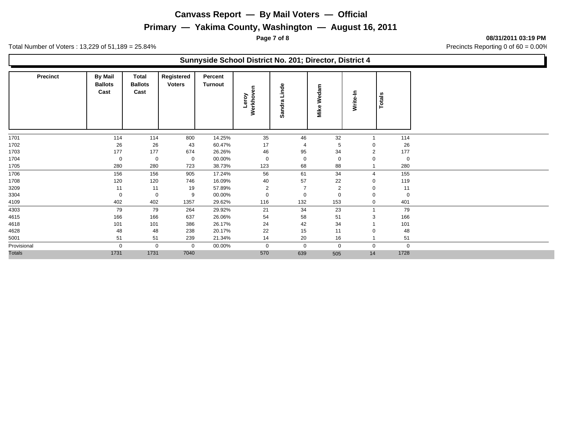# **Primary — Yakima County, Washington — August 16, 2011**

**Page 7 of 8 08/31/2011 03:19 PM**

Total Number of Voters : 13,229 of 51,189 = 25.84% Precincts Reporting 0 of 60 = 0.00%

#### **Sunnyside School District No. 201; Director, District 4**

| Precinct      | <b>By Mail</b><br><b>Ballots</b><br>Cast | Total<br><b>Ballots</b><br>Cast | Registered<br><b>Voters</b> | Percent<br>Turnout | န<br>Werkhov<br>eroy | Linde<br>Sandra | Wedam<br>Mike  | Write-In       | <b>Totals</b> |             |
|---------------|------------------------------------------|---------------------------------|-----------------------------|--------------------|----------------------|-----------------|----------------|----------------|---------------|-------------|
| 1701          | 114                                      | 114                             | 800                         | 14.25%             | 35                   | 46              | 32             |                |               | 114         |
| 1702          | 26                                       | 26                              | 43                          | 60.47%             | 17                   | -4              | 5              | 0              |               | 26          |
| 1703          | 177                                      | 177                             | 674                         | 26.26%             | 46                   | 95              | 34             | $\overline{2}$ |               | 177         |
| 1704          | $\mathbf 0$                              | $\mathbf 0$                     | $\mathbf 0$                 | 00.00%             | $\mathbf 0$          | $\mathbf 0$     | $\mathbf 0$    | $\mathbf 0$    |               | $\mathbf 0$ |
| 1705          | 280                                      | 280                             | 723                         | 38.73%             | 123                  | 68              | 88             |                |               | 280         |
| 1706          | 156                                      | 156                             | 905                         | 17.24%             | 56                   | 61              | 34             | 4              |               | 155         |
| 1708          | 120                                      | 120                             | 746                         | 16.09%             | 40                   | 57              | 22             | $\mathbf 0$    |               | 119         |
| 3209          | 11                                       | 11                              | 19                          | 57.89%             | 2                    | 7               | $\overline{2}$ | $\mathbf 0$    |               | 11          |
| 3304          | $\mathbf 0$                              | $\mathbf 0$                     | 9                           | 00.00%             | 0                    | $\mathbf 0$     | $\Omega$       | $\mathbf 0$    |               | $\mathbf 0$ |
| 4109          | 402                                      | 402                             | 1357                        | 29.62%             | 116                  | 132             | 153            | $\mathbf 0$    |               | 401         |
| 4303          | 79                                       | 79                              | 264                         | 29.92%             | 21                   | 34              | 23             |                |               | 79          |
| 4615          | 166                                      | 166                             | 637                         | 26.06%             | 54                   | 58              | 51             | 3              |               | 166         |
| 4618          | 101                                      | 101                             | 386                         | 26.17%             | 24                   | 42              | 34             |                |               | 101         |
| 4628          | 48                                       | 48                              | 238                         | 20.17%             | 22                   | 15              | 11             | 0              |               | 48          |
| 5001          | 51                                       | 51                              | 239                         | 21.34%             | 14                   | 20              | 16             |                |               | 51          |
| Provisional   | $\mathbf 0$                              | $\mathbf 0$                     | $\mathbf 0$                 | 00.00%             | $\mathbf 0$          | $\mathbf 0$     | $\mathbf 0$    | $\mathbf 0$    |               | $\mathbf 0$ |
| <b>Totals</b> | 1731                                     | 1731                            | 7040                        |                    | 570                  | 639             | 505            | 14             | 1728          |             |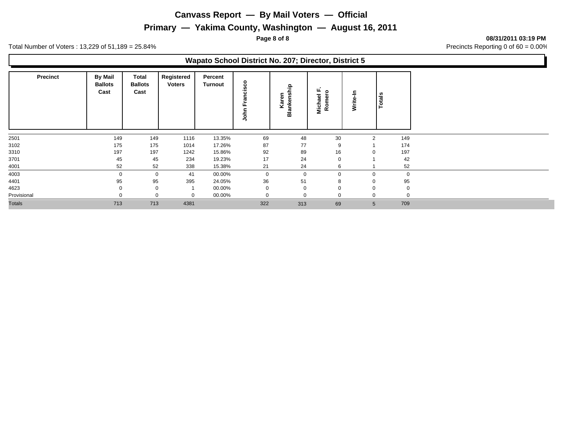# **Primary — Yakima County, Washington — August 16, 2011**

**Page 8 of 8 08/31/2011 03:19 PM**

Total Number of Voters : 13,229 of 51,189 = 25.84% Precincts Reporting 0 of 60 = 0.00%

#### **Wapato School District No. 207; Director, District 5**

| <b>Precinct</b> | <b>By Mail</b><br><b>Ballots</b><br>Cast | Total<br><b>Ballots</b><br>Cast | Registered<br><b>Voters</b> | Percent<br><b>Turnout</b> | o<br>ت<br><u>ِي</u><br>$\mathbf{c}$<br>John | Blankenship<br>Karen | ட<br>$\circ$<br>Michael<br>$\overline{\mathbf{c}}$<br>Rom | ⊂<br>ω<br>ē<br>≳ | otals<br>⊢  |
|-----------------|------------------------------------------|---------------------------------|-----------------------------|---------------------------|---------------------------------------------|----------------------|-----------------------------------------------------------|------------------|-------------|
| 2501            | 149                                      | 149                             | 1116                        | 13.35%                    | 69                                          | 48                   | 30                                                        | 2                | 149         |
| 3102            | 175                                      | 175                             | 1014                        | 17.26%                    | 87                                          | 77                   | 9                                                         |                  | 174         |
| 3310            | 197                                      | 197                             | 1242                        | 15.86%                    | 92                                          | 89                   | 16                                                        | $\mathbf 0$      | 197         |
| 3701            | 45                                       | 45                              | 234                         | 19.23%                    | 17                                          | 24                   | $\Omega$                                                  |                  | 42          |
| 4001            | 52                                       | 52                              | 338                         | 15.38%                    | 21                                          | 24                   | 6                                                         |                  | 52          |
| 4003            | $\mathbf 0$                              | 0                               | 41                          | 00.00%                    | $\mathbf 0$                                 | $\mathbf 0$          |                                                           | $\mathbf{0}$     | $\mathbf 0$ |
| 4401            | 95                                       | 95                              | 395                         | 24.05%                    | 36                                          | 51                   | 8                                                         | 0                | 95          |
| 4623            |                                          |                                 |                             | 00.00%                    | $\Omega$                                    | $\Omega$             |                                                           | $\mathbf 0$      |             |
| Provisional     |                                          |                                 |                             | 00.00%                    | $\Omega$                                    | - 0                  |                                                           | 0                |             |
| <b>Totals</b>   | 713                                      | 713                             | 4381                        |                           | 322                                         | 313                  | 69                                                        | $5\overline{)}$  | 709         |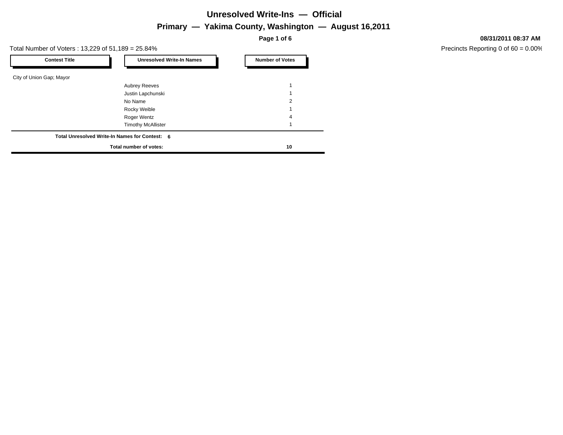# **Unresolved Write-Ins — Official**

# **Primary — Yakima County, Washington — August 16,2011**

**Page 1 of 6**

#### Total Number of Voters : 13,229 of 51,189 = 25.84%

| <b>Contest Title</b>     | <b>Unresolved Write-In Names</b>               | <b>Number of Votes</b> |
|--------------------------|------------------------------------------------|------------------------|
| City of Union Gap; Mayor |                                                |                        |
|                          | <b>Aubrey Reeves</b>                           |                        |
|                          | Justin Lapchunski                              |                        |
|                          | No Name                                        | 2                      |
|                          | Rocky Weible                                   |                        |
|                          | Roger Wentz                                    | 4                      |
|                          | <b>Timothy McAllister</b>                      |                        |
|                          | Total Unresolved Write-In Names for Contest: 6 |                        |
|                          | Total number of votes:                         | 10                     |

# **08/31/2011 08:37 AM**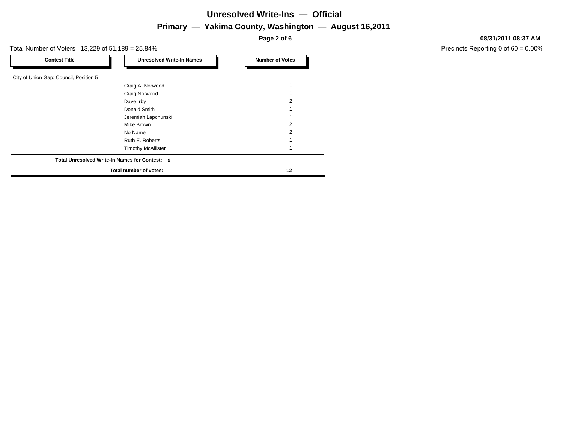# **Primary — Yakima County, Washington — August 16,2011 Unresolved Write-Ins — Official**

**Page 2 of 6**

Total Number of Voters : 13,229 of 51,189 = 25.84%

| <b>Contest Title</b>                   | <b>Unresolved Write-In Names</b>               | <b>Number of Votes</b> |
|----------------------------------------|------------------------------------------------|------------------------|
| City of Union Gap; Council, Position 5 |                                                |                        |
|                                        | Craig A. Norwood                               |                        |
|                                        | Craig Norwood                                  |                        |
|                                        | Dave Irby                                      |                        |
|                                        | Donald Smith                                   |                        |
|                                        | Jeremiah Lapchunski                            |                        |
|                                        | Mike Brown                                     | 2                      |
|                                        | No Name                                        | 2                      |
|                                        | Ruth E. Roberts                                |                        |
|                                        | <b>Timothy McAllister</b>                      |                        |
|                                        | Total Unresolved Write-In Names for Contest: 9 |                        |
|                                        | Total number of votes:                         | 12                     |

**08/31/2011 08:37 AM**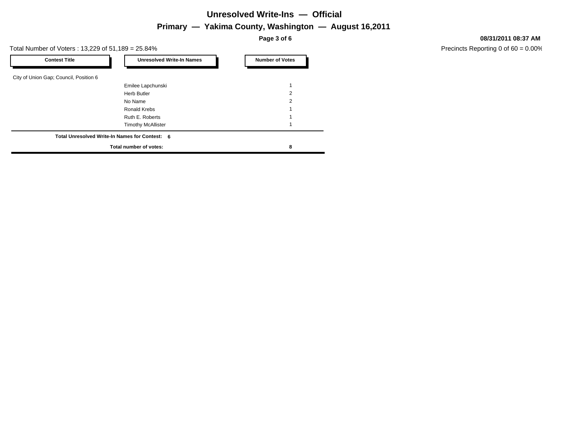# **Primary — Yakima County, Washington — August 16,2011 Unresolved Write-Ins — Official**

**Page 3 of 6**

Total Number of Voters : 13,229 of 51,189 = 25.84%

| <b>Contest Title</b>                           | <b>Unresolved Write-In Names</b> | <b>Number of Votes</b> |
|------------------------------------------------|----------------------------------|------------------------|
| City of Union Gap; Council, Position 6         |                                  |                        |
|                                                | Emilee Lapchunski                |                        |
|                                                | <b>Herb Butler</b>               | 2                      |
|                                                | No Name                          | $\overline{2}$         |
|                                                | <b>Ronald Krebs</b>              |                        |
|                                                | Ruth E. Roberts                  |                        |
|                                                | <b>Timothy McAllister</b>        |                        |
| Total Unresolved Write-In Names for Contest: 6 |                                  |                        |
|                                                | Total number of votes:           | 8                      |

**08/31/2011 08:37 AM**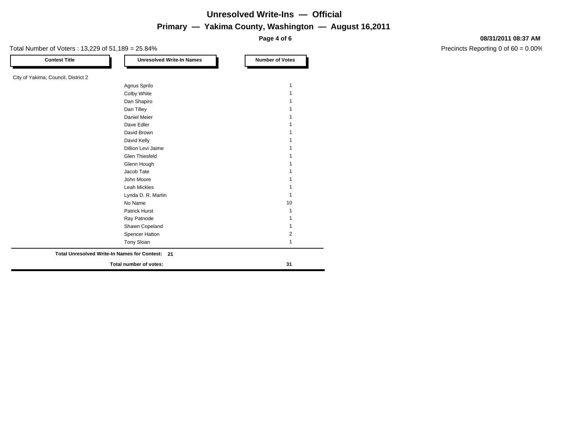# **Primary — Yakima County, Washington — August 16,2011 Unresolved Write-Ins — Official**

**Page 4 of 6**

**08/31/2011 08:37 AM**

| <b>Contest Title</b>                | <b>Unresolved Write-In Names</b>                | <b>Number of Votes</b> |
|-------------------------------------|-------------------------------------------------|------------------------|
| City of Yakima; Council, District 2 |                                                 |                        |
|                                     | Agnus Sprilo                                    |                        |
|                                     | Colby White                                     |                        |
|                                     | Dan Shapiro                                     |                        |
|                                     | Dan Tilley                                      |                        |
|                                     | <b>Daniel Meier</b>                             |                        |
|                                     | Dave Edler                                      |                        |
|                                     | David Brown                                     |                        |
|                                     | David Kelly                                     |                        |
|                                     | <b>Dillion Levi Jaime</b>                       |                        |
|                                     | Glen Thiesfeld                                  |                        |
|                                     | Glenn Hough                                     |                        |
|                                     | Jacob Tate                                      |                        |
|                                     | John Moore                                      |                        |
|                                     | Leah Mickles                                    |                        |
|                                     | Lynda D. R. Martin                              |                        |
|                                     | No Name                                         | 10                     |
|                                     | Patrick Hurst                                   |                        |
|                                     | Ray Patnode                                     |                        |
|                                     | Shawn Copeland                                  |                        |
|                                     | Spencer Hatton                                  | 2                      |
|                                     | Tony Sloan                                      | 1                      |
|                                     | Total Unresolved Write-In Names for Contest: 21 |                        |
|                                     | Total number of votes:                          | 31                     |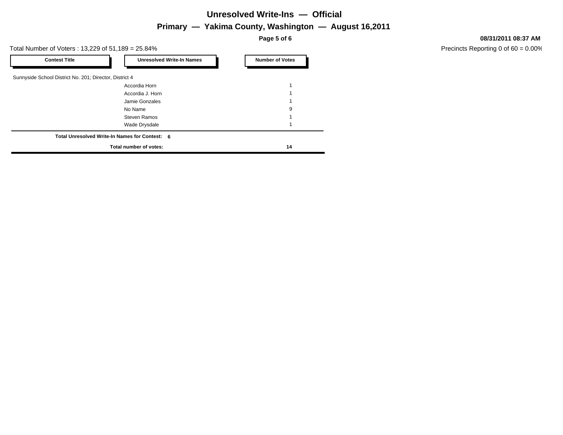# **Unresolved Write-Ins — Official**

#### **Primary — Yakima County, Washington — August 16,2011**

**Page 5 of 6**

Total Number of Voters : 13,229 of 51,189 = 25.84%

| <b>Contest Title</b>                                    | <b>Unresolved Write-In Names</b>               | <b>Number of Votes</b> |
|---------------------------------------------------------|------------------------------------------------|------------------------|
| Sunnyside School District No. 201; Director, District 4 |                                                |                        |
|                                                         | Accordia Horn                                  |                        |
|                                                         | Accordia J. Horn                               |                        |
|                                                         | Jamie Gonzales                                 |                        |
|                                                         | No Name                                        | 9                      |
|                                                         | <b>Steven Ramos</b>                            |                        |
|                                                         | Wade Drysdale                                  |                        |
|                                                         | Total Unresolved Write-In Names for Contest: 6 |                        |
|                                                         | Total number of votes:                         | 14                     |

**08/31/2011 08:37 AM**